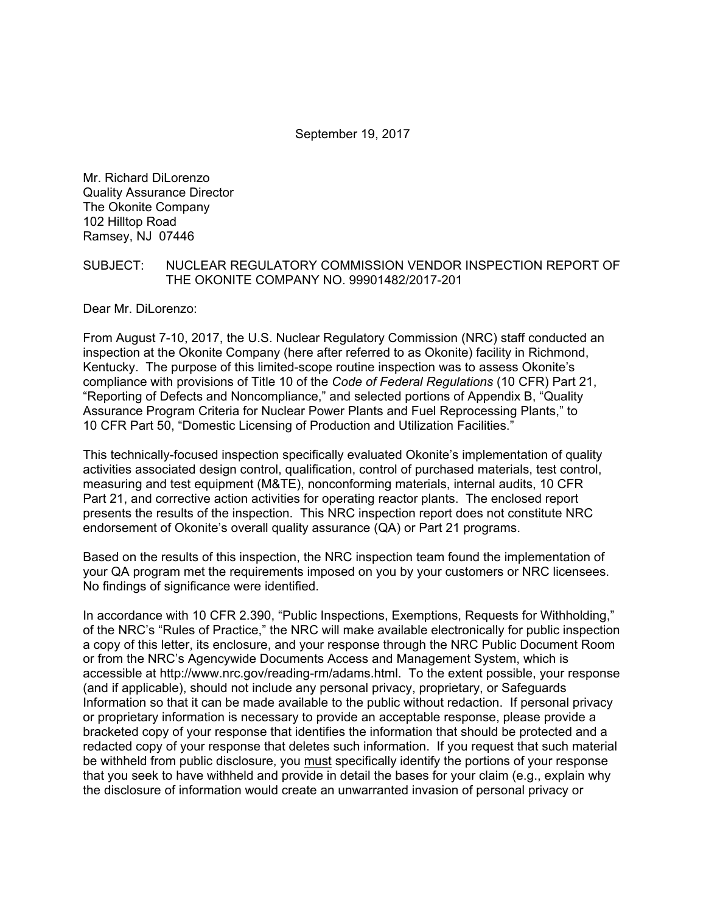#### September 19, 2017

Mr. Richard DiLorenzo Quality Assurance Director The Okonite Company 102 Hilltop Road Ramsey, NJ 07446

#### SUBJECT: NUCLEAR REGULATORY COMMISSION VENDOR INSPECTION REPORT OF THE OKONITE COMPANY NO. 99901482/2017-201

Dear Mr. DiLorenzo:

From August 7-10, 2017, the U.S. Nuclear Regulatory Commission (NRC) staff conducted an inspection at the Okonite Company (here after referred to as Okonite) facility in Richmond, Kentucky. The purpose of this limited-scope routine inspection was to assess Okonite's compliance with provisions of Title 10 of the *Code of Federal Regulations* (10 CFR) Part 21, "Reporting of Defects and Noncompliance," and selected portions of Appendix B, "Quality Assurance Program Criteria for Nuclear Power Plants and Fuel Reprocessing Plants," to 10 CFR Part 50, "Domestic Licensing of Production and Utilization Facilities."

This technically-focused inspection specifically evaluated Okonite's implementation of quality activities associated design control, qualification, control of purchased materials, test control, measuring and test equipment (M&TE), nonconforming materials, internal audits, 10 CFR Part 21, and corrective action activities for operating reactor plants. The enclosed report presents the results of the inspection. This NRC inspection report does not constitute NRC endorsement of Okonite's overall quality assurance (QA) or Part 21 programs.

Based on the results of this inspection, the NRC inspection team found the implementation of your QA program met the requirements imposed on you by your customers or NRC licensees. No findings of significance were identified.

In accordance with 10 CFR 2.390, "Public Inspections, Exemptions, Requests for Withholding," of the NRC's "Rules of Practice," the NRC will make available electronically for public inspection a copy of this letter, its enclosure, and your response through the NRC Public Document Room or from the NRC's Agencywide Documents Access and Management System, which is accessible at http://www.nrc.gov/reading-rm/adams.html. To the extent possible, your response (and if applicable), should not include any personal privacy, proprietary, or Safeguards Information so that it can be made available to the public without redaction. If personal privacy or proprietary information is necessary to provide an acceptable response, please provide a bracketed copy of your response that identifies the information that should be protected and a redacted copy of your response that deletes such information. If you request that such material be withheld from public disclosure, you must specifically identify the portions of your response that you seek to have withheld and provide in detail the bases for your claim (e.g., explain why the disclosure of information would create an unwarranted invasion of personal privacy or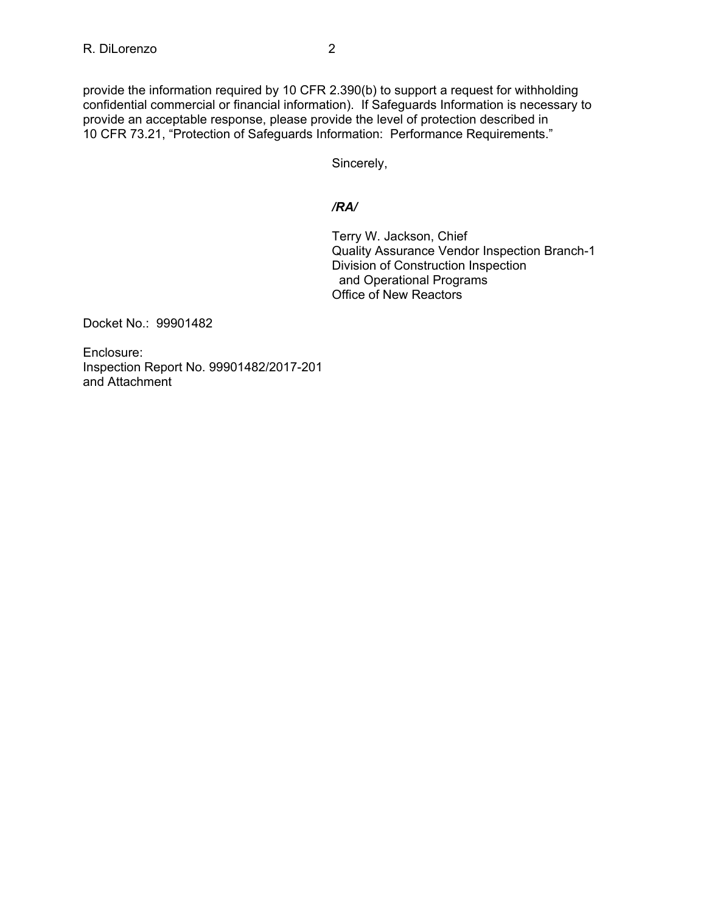provide the information required by 10 CFR 2.390(b) to support a request for withholding confidential commercial or financial information). If Safeguards Information is necessary to provide an acceptable response, please provide the level of protection described in 10 CFR 73.21, "Protection of Safeguards Information: Performance Requirements."

Sincerely,

# */RA/*

Terry W. Jackson, Chief Quality Assurance Vendor Inspection Branch-1 Division of Construction Inspection and Operational Programs Office of New Reactors

Docket No.: 99901482

Enclosure: Inspection Report No. 99901482/2017-201 and Attachment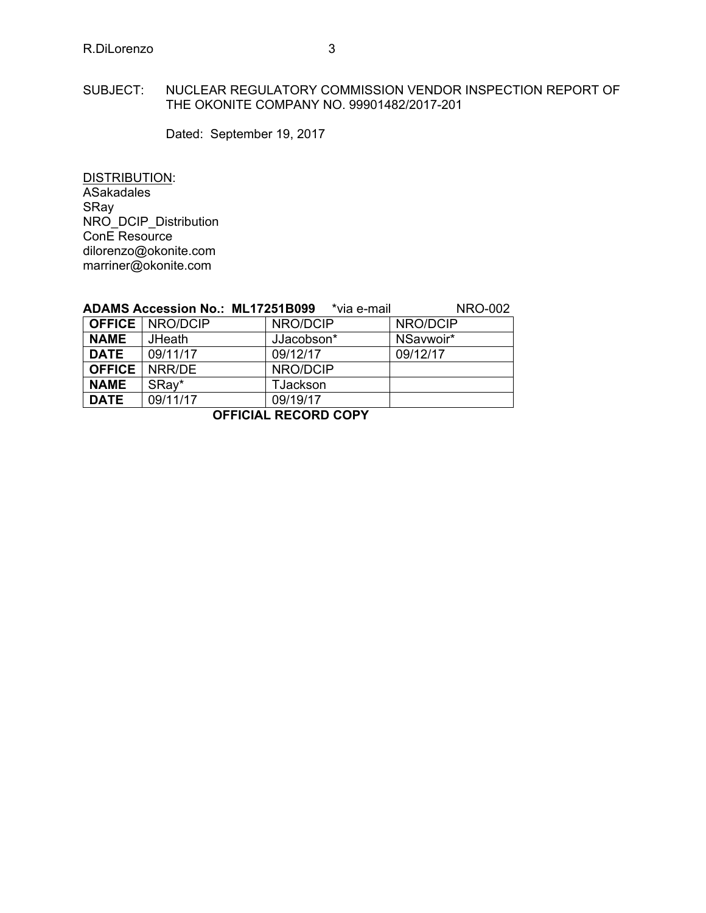### SUBJECT: NUCLEAR REGULATORY COMMISSION VENDOR INSPECTION REPORT OF THE OKONITE COMPANY NO. 99901482/2017-201

Dated: September 19, 2017

DISTRIBUTION: **ASakadales** SRay NRO\_DCIP\_Distribution ConE Resource dilorenzo@okonite.com marriner@okonite.com

|               | <b>ADAMS Accession No.: ML17251B099</b> | *via e-mail | <b>NRO-002</b> |  |
|---------------|-----------------------------------------|-------------|----------------|--|
|               | <b>OFFICE   NRO/DCIP</b>                | NRO/DCIP    | NRO/DCIP       |  |
| <b>NAME</b>   | <b>JHeath</b>                           | JJacobson*  | NSavwoir*      |  |
| <b>DATE</b>   | 09/11/17                                | 09/12/17    | 09/12/17       |  |
| <b>OFFICE</b> | NRR/DE                                  | NRO/DCIP    |                |  |
| <b>NAME</b>   | SRay*                                   | TJackson    |                |  |
| <b>DATE</b>   | 09/11/17                                | 09/19/17    |                |  |
|               |                                         |             |                |  |

**OFFICIAL RECORD COPY**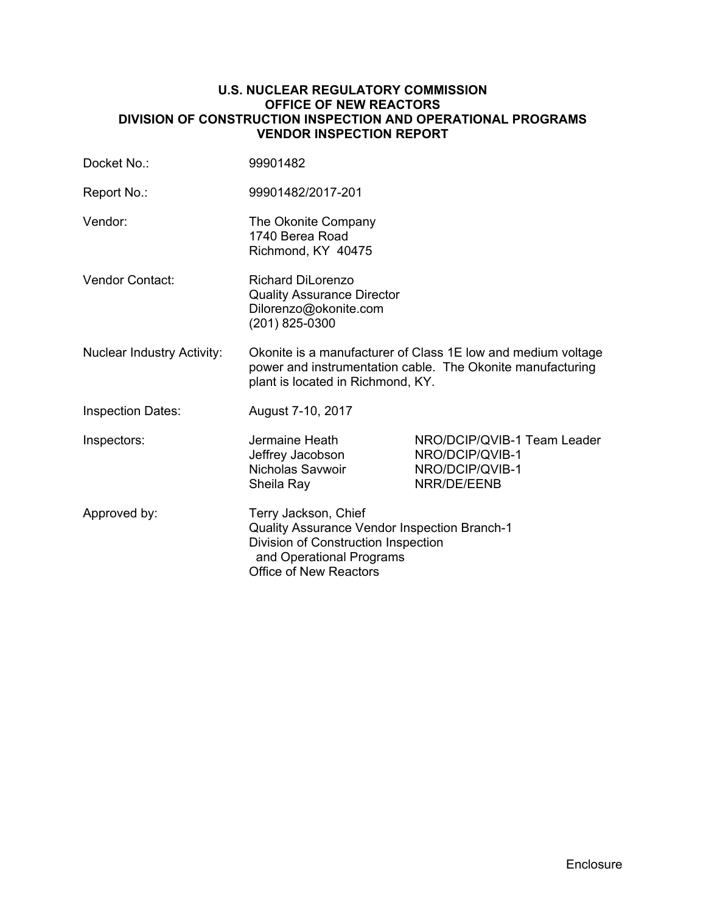### **U.S. NUCLEAR REGULATORY COMMISSION OFFICE OF NEW REACTORS DIVISION OF CONSTRUCTION INSPECTION AND OPERATIONAL PROGRAMS VENDOR INSPECTION REPORT**

| Docket No.:                       | 99901482                                                                                                                                                          |                                                                                  |  |
|-----------------------------------|-------------------------------------------------------------------------------------------------------------------------------------------------------------------|----------------------------------------------------------------------------------|--|
| Report No.:                       | 99901482/2017-201                                                                                                                                                 |                                                                                  |  |
| Vendor:                           | The Okonite Company<br>1740 Berea Road<br>Richmond, KY 40475                                                                                                      |                                                                                  |  |
| Vendor Contact:                   | <b>Richard DiLorenzo</b><br><b>Quality Assurance Director</b><br>Dilorenzo@okonite.com<br>(201) 825-0300                                                          |                                                                                  |  |
| <b>Nuclear Industry Activity:</b> | Okonite is a manufacturer of Class 1E low and medium voltage<br>power and instrumentation cable. The Okonite manufacturing<br>plant is located in Richmond, KY.   |                                                                                  |  |
| <b>Inspection Dates:</b>          | August 7-10, 2017                                                                                                                                                 |                                                                                  |  |
| Inspectors:                       | Jermaine Heath<br>Jeffrey Jacobson<br>Nicholas Savwoir<br>Sheila Ray                                                                                              | NRO/DCIP/QVIB-1 Team Leader<br>NRO/DCIP/QVIB-1<br>NRO/DCIP/QVIB-1<br>NRR/DE/EENB |  |
| Approved by:                      | Terry Jackson, Chief<br>Quality Assurance Vendor Inspection Branch-1<br>Division of Construction Inspection<br>and Operational Programs<br>Office of New Reactors |                                                                                  |  |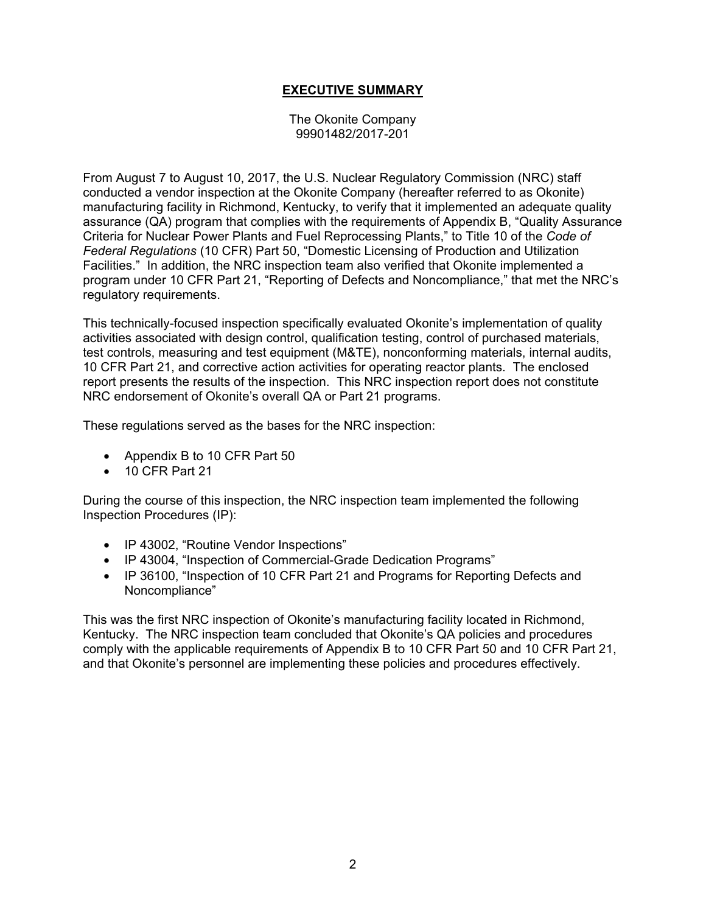# **EXECUTIVE SUMMARY**

The Okonite Company 99901482/2017-201

From August 7 to August 10, 2017, the U.S. Nuclear Regulatory Commission (NRC) staff conducted a vendor inspection at the Okonite Company (hereafter referred to as Okonite) manufacturing facility in Richmond, Kentucky, to verify that it implemented an adequate quality assurance (QA) program that complies with the requirements of Appendix B, "Quality Assurance Criteria for Nuclear Power Plants and Fuel Reprocessing Plants," to Title 10 of the *Code of Federal Regulations* (10 CFR) Part 50, "Domestic Licensing of Production and Utilization Facilities." In addition, the NRC inspection team also verified that Okonite implemented a program under 10 CFR Part 21, "Reporting of Defects and Noncompliance," that met the NRC's regulatory requirements.

This technically-focused inspection specifically evaluated Okonite's implementation of quality activities associated with design control, qualification testing, control of purchased materials, test controls, measuring and test equipment (M&TE), nonconforming materials, internal audits, 10 CFR Part 21, and corrective action activities for operating reactor plants. The enclosed report presents the results of the inspection. This NRC inspection report does not constitute NRC endorsement of Okonite's overall QA or Part 21 programs.

These regulations served as the bases for the NRC inspection:

- Appendix B to 10 CFR Part 50
- 10 CFR Part 21

During the course of this inspection, the NRC inspection team implemented the following Inspection Procedures (IP):

- IP 43002, "Routine Vendor Inspections"
- IP 43004, "Inspection of Commercial-Grade Dedication Programs"
- IP 36100, "Inspection of 10 CFR Part 21 and Programs for Reporting Defects and Noncompliance"

This was the first NRC inspection of Okonite's manufacturing facility located in Richmond, Kentucky. The NRC inspection team concluded that Okonite's QA policies and procedures comply with the applicable requirements of Appendix B to 10 CFR Part 50 and 10 CFR Part 21, and that Okonite's personnel are implementing these policies and procedures effectively.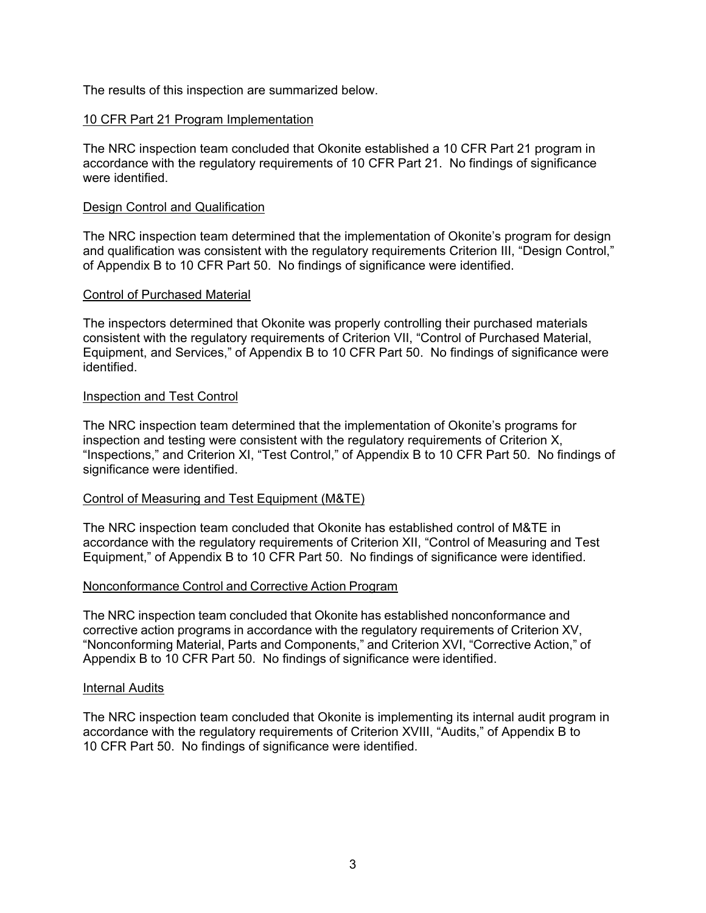The results of this inspection are summarized below.

### 10 CFR Part 21 Program Implementation

The NRC inspection team concluded that Okonite established a 10 CFR Part 21 program in accordance with the regulatory requirements of 10 CFR Part 21. No findings of significance were identified.

#### Design Control and Qualification

The NRC inspection team determined that the implementation of Okonite's program for design and qualification was consistent with the regulatory requirements Criterion III, "Design Control," of Appendix B to 10 CFR Part 50. No findings of significance were identified.

#### Control of Purchased Material

The inspectors determined that Okonite was properly controlling their purchased materials consistent with the regulatory requirements of Criterion VII, "Control of Purchased Material, Equipment, and Services," of Appendix B to 10 CFR Part 50. No findings of significance were identified.

#### Inspection and Test Control

The NRC inspection team determined that the implementation of Okonite's programs for inspection and testing were consistent with the regulatory requirements of Criterion X, "Inspections," and Criterion XI, "Test Control," of Appendix B to 10 CFR Part 50. No findings of significance were identified.

#### Control of Measuring and Test Equipment (M&TE)

The NRC inspection team concluded that Okonite has established control of M&TE in accordance with the regulatory requirements of Criterion XII, "Control of Measuring and Test Equipment," of Appendix B to 10 CFR Part 50. No findings of significance were identified.

#### Nonconformance Control and Corrective Action Program

The NRC inspection team concluded that Okonite has established nonconformance and corrective action programs in accordance with the regulatory requirements of Criterion XV, "Nonconforming Material, Parts and Components," and Criterion XVI, "Corrective Action," of Appendix B to 10 CFR Part 50. No findings of significance were identified.

#### Internal Audits

The NRC inspection team concluded that Okonite is implementing its internal audit program in accordance with the regulatory requirements of Criterion XVIII, "Audits," of Appendix B to 10 CFR Part 50. No findings of significance were identified.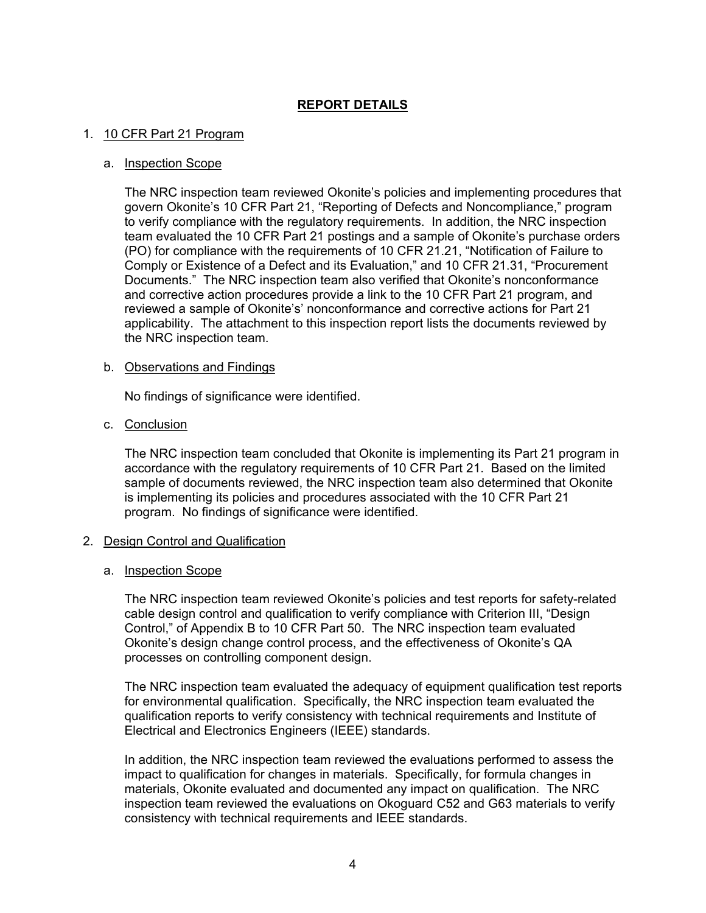# **REPORT DETAILS**

#### 1. 10 CFR Part 21 Program

#### a. Inspection Scope

The NRC inspection team reviewed Okonite's policies and implementing procedures that govern Okonite's 10 CFR Part 21, "Reporting of Defects and Noncompliance," program to verify compliance with the regulatory requirements. In addition, the NRC inspection team evaluated the 10 CFR Part 21 postings and a sample of Okonite's purchase orders (PO) for compliance with the requirements of 10 CFR 21.21, "Notification of Failure to Comply or Existence of a Defect and its Evaluation," and 10 CFR 21.31, "Procurement Documents." The NRC inspection team also verified that Okonite's nonconformance and corrective action procedures provide a link to the 10 CFR Part 21 program, and reviewed a sample of Okonite's' nonconformance and corrective actions for Part 21 applicability. The attachment to this inspection report lists the documents reviewed by the NRC inspection team.

#### b. Observations and Findings

No findings of significance were identified.

#### c. Conclusion

The NRC inspection team concluded that Okonite is implementing its Part 21 program in accordance with the regulatory requirements of 10 CFR Part 21. Based on the limited sample of documents reviewed, the NRC inspection team also determined that Okonite is implementing its policies and procedures associated with the 10 CFR Part 21 program. No findings of significance were identified.

#### 2. Design Control and Qualification

#### a. Inspection Scope

The NRC inspection team reviewed Okonite's policies and test reports for safety-related cable design control and qualification to verify compliance with Criterion III, "Design Control," of Appendix B to 10 CFR Part 50. The NRC inspection team evaluated Okonite's design change control process, and the effectiveness of Okonite's QA processes on controlling component design.

The NRC inspection team evaluated the adequacy of equipment qualification test reports for environmental qualification. Specifically, the NRC inspection team evaluated the qualification reports to verify consistency with technical requirements and Institute of Electrical and Electronics Engineers (IEEE) standards.

In addition, the NRC inspection team reviewed the evaluations performed to assess the impact to qualification for changes in materials. Specifically, for formula changes in materials, Okonite evaluated and documented any impact on qualification. The NRC inspection team reviewed the evaluations on Okoguard C52 and G63 materials to verify consistency with technical requirements and IEEE standards.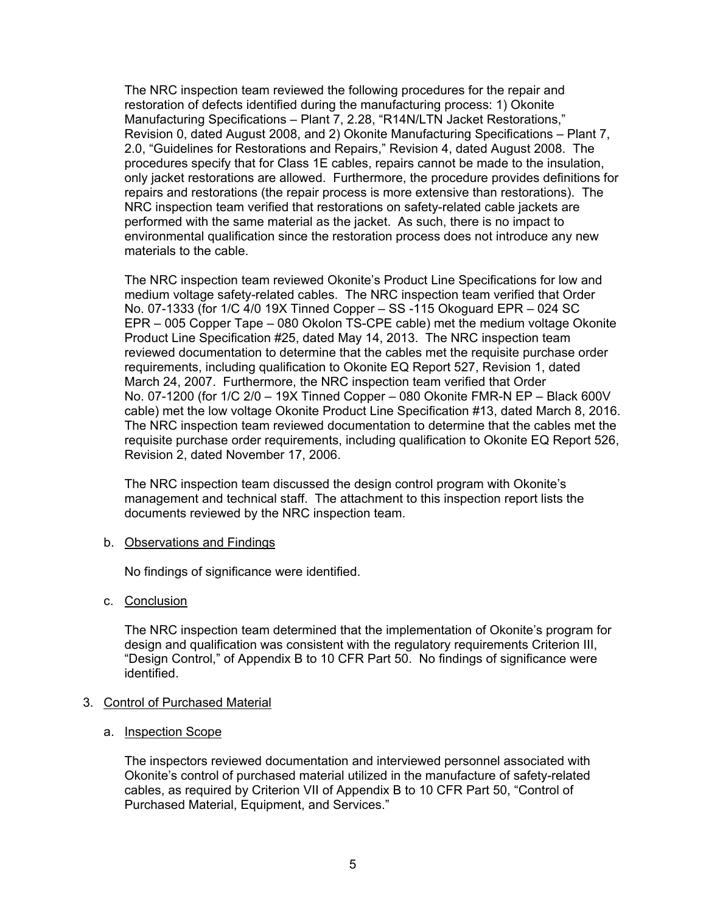The NRC inspection team reviewed the following procedures for the repair and restoration of defects identified during the manufacturing process: 1) Okonite Manufacturing Specifications – Plant 7, 2.28, "R14N/LTN Jacket Restorations," Revision 0, dated August 2008, and 2) Okonite Manufacturing Specifications – Plant 7, 2.0, "Guidelines for Restorations and Repairs," Revision 4, dated August 2008. The procedures specify that for Class 1E cables, repairs cannot be made to the insulation, only jacket restorations are allowed. Furthermore, the procedure provides definitions for repairs and restorations (the repair process is more extensive than restorations). The NRC inspection team verified that restorations on safety-related cable jackets are performed with the same material as the jacket. As such, there is no impact to environmental qualification since the restoration process does not introduce any new materials to the cable.

The NRC inspection team reviewed Okonite's Product Line Specifications for low and medium voltage safety-related cables. The NRC inspection team verified that Order No. 07-1333 (for 1/C 4/0 19X Tinned Copper – SS -115 Okoguard EPR – 024 SC EPR – 005 Copper Tape – 080 Okolon TS-CPE cable) met the medium voltage Okonite Product Line Specification #25, dated May 14, 2013. The NRC inspection team reviewed documentation to determine that the cables met the requisite purchase order requirements, including qualification to Okonite EQ Report 527, Revision 1, dated March 24, 2007. Furthermore, the NRC inspection team verified that Order No. 07-1200 (for 1/C 2/0 – 19X Tinned Copper – 080 Okonite FMR-N EP – Black 600V cable) met the low voltage Okonite Product Line Specification #13, dated March 8, 2016. The NRC inspection team reviewed documentation to determine that the cables met the requisite purchase order requirements, including qualification to Okonite EQ Report 526, Revision 2, dated November 17, 2006.

The NRC inspection team discussed the design control program with Okonite's management and technical staff. The attachment to this inspection report lists the documents reviewed by the NRC inspection team.

#### b. Observations and Findings

No findings of significance were identified.

c. Conclusion

The NRC inspection team determined that the implementation of Okonite's program for design and qualification was consistent with the regulatory requirements Criterion III, "Design Control," of Appendix B to 10 CFR Part 50. No findings of significance were identified.

# 3. Control of Purchased Material

#### a. Inspection Scope

The inspectors reviewed documentation and interviewed personnel associated with Okonite's control of purchased material utilized in the manufacture of safety-related cables, as required by Criterion VII of Appendix B to 10 CFR Part 50, "Control of Purchased Material, Equipment, and Services."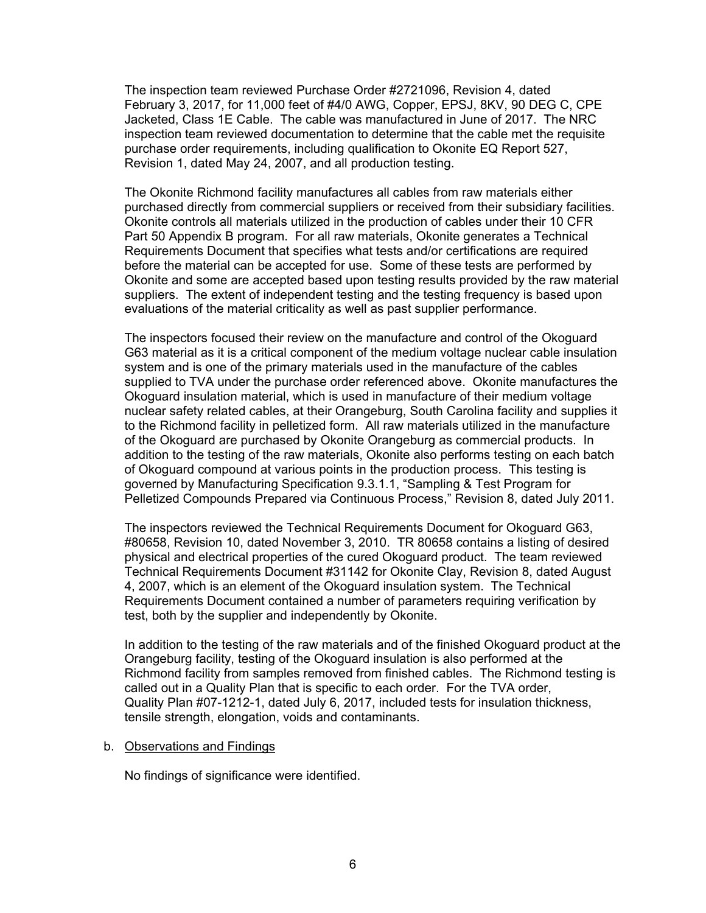The inspection team reviewed Purchase Order #2721096, Revision 4, dated February 3, 2017, for 11,000 feet of #4/0 AWG, Copper, EPSJ, 8KV, 90 DEG C, CPE Jacketed, Class 1E Cable. The cable was manufactured in June of 2017. The NRC inspection team reviewed documentation to determine that the cable met the requisite purchase order requirements, including qualification to Okonite EQ Report 527, Revision 1, dated May 24, 2007, and all production testing.

The Okonite Richmond facility manufactures all cables from raw materials either purchased directly from commercial suppliers or received from their subsidiary facilities. Okonite controls all materials utilized in the production of cables under their 10 CFR Part 50 Appendix B program. For all raw materials, Okonite generates a Technical Requirements Document that specifies what tests and/or certifications are required before the material can be accepted for use. Some of these tests are performed by Okonite and some are accepted based upon testing results provided by the raw material suppliers. The extent of independent testing and the testing frequency is based upon evaluations of the material criticality as well as past supplier performance.

The inspectors focused their review on the manufacture and control of the Okoguard G63 material as it is a critical component of the medium voltage nuclear cable insulation system and is one of the primary materials used in the manufacture of the cables supplied to TVA under the purchase order referenced above. Okonite manufactures the Okoguard insulation material, which is used in manufacture of their medium voltage nuclear safety related cables, at their Orangeburg, South Carolina facility and supplies it to the Richmond facility in pelletized form. All raw materials utilized in the manufacture of the Okoguard are purchased by Okonite Orangeburg as commercial products. In addition to the testing of the raw materials, Okonite also performs testing on each batch of Okoguard compound at various points in the production process. This testing is governed by Manufacturing Specification 9.3.1.1, "Sampling & Test Program for Pelletized Compounds Prepared via Continuous Process," Revision 8, dated July 2011.

The inspectors reviewed the Technical Requirements Document for Okoguard G63, #80658, Revision 10, dated November 3, 2010. TR 80658 contains a listing of desired physical and electrical properties of the cured Okoguard product. The team reviewed Technical Requirements Document #31142 for Okonite Clay, Revision 8, dated August 4, 2007, which is an element of the Okoguard insulation system. The Technical Requirements Document contained a number of parameters requiring verification by test, both by the supplier and independently by Okonite.

In addition to the testing of the raw materials and of the finished Okoguard product at the Orangeburg facility, testing of the Okoguard insulation is also performed at the Richmond facility from samples removed from finished cables. The Richmond testing is called out in a Quality Plan that is specific to each order. For the TVA order, Quality Plan #07-1212-1, dated July 6, 2017, included tests for insulation thickness, tensile strength, elongation, voids and contaminants.

#### b. Observations and Findings

No findings of significance were identified.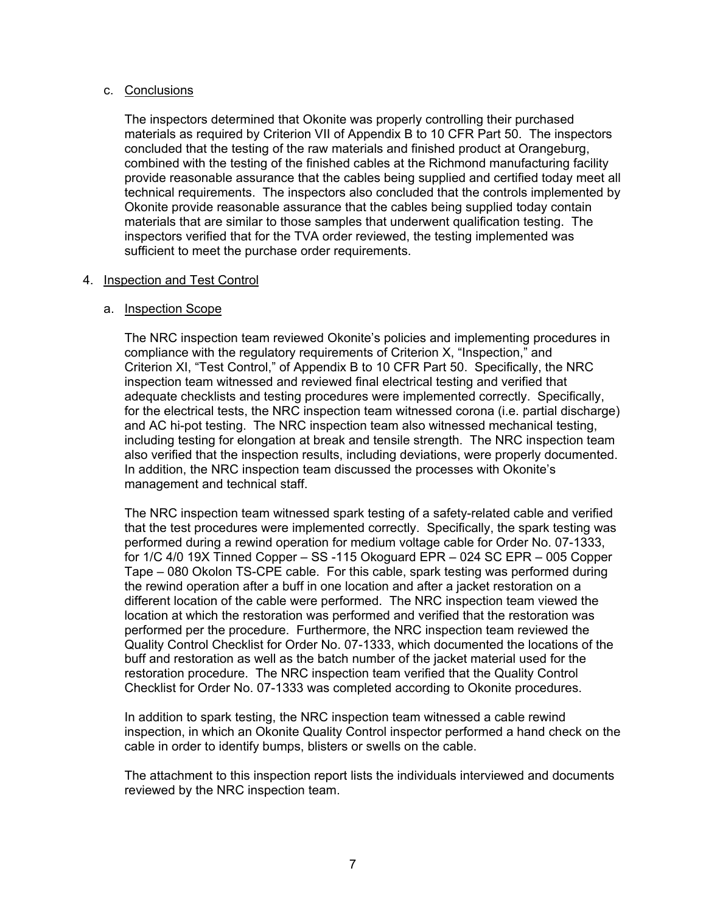### c. Conclusions

The inspectors determined that Okonite was properly controlling their purchased materials as required by Criterion VII of Appendix B to 10 CFR Part 50. The inspectors concluded that the testing of the raw materials and finished product at Orangeburg, combined with the testing of the finished cables at the Richmond manufacturing facility provide reasonable assurance that the cables being supplied and certified today meet all technical requirements. The inspectors also concluded that the controls implemented by Okonite provide reasonable assurance that the cables being supplied today contain materials that are similar to those samples that underwent qualification testing. The inspectors verified that for the TVA order reviewed, the testing implemented was sufficient to meet the purchase order requirements.

### 4. Inspection and Test Control

### a. Inspection Scope

The NRC inspection team reviewed Okonite's policies and implementing procedures in compliance with the regulatory requirements of Criterion X, "Inspection," and Criterion XI, "Test Control," of Appendix B to 10 CFR Part 50. Specifically, the NRC inspection team witnessed and reviewed final electrical testing and verified that adequate checklists and testing procedures were implemented correctly. Specifically, for the electrical tests, the NRC inspection team witnessed corona (i.e. partial discharge) and AC hi-pot testing. The NRC inspection team also witnessed mechanical testing, including testing for elongation at break and tensile strength. The NRC inspection team also verified that the inspection results, including deviations, were properly documented. In addition, the NRC inspection team discussed the processes with Okonite's management and technical staff.

The NRC inspection team witnessed spark testing of a safety-related cable and verified that the test procedures were implemented correctly. Specifically, the spark testing was performed during a rewind operation for medium voltage cable for Order No. 07-1333, for 1/C 4/0 19X Tinned Copper – SS -115 Okoguard EPR – 024 SC EPR – 005 Copper Tape – 080 Okolon TS-CPE cable. For this cable, spark testing was performed during the rewind operation after a buff in one location and after a jacket restoration on a different location of the cable were performed. The NRC inspection team viewed the location at which the restoration was performed and verified that the restoration was performed per the procedure. Furthermore, the NRC inspection team reviewed the Quality Control Checklist for Order No. 07-1333, which documented the locations of the buff and restoration as well as the batch number of the jacket material used for the restoration procedure. The NRC inspection team verified that the Quality Control Checklist for Order No. 07-1333 was completed according to Okonite procedures.

In addition to spark testing, the NRC inspection team witnessed a cable rewind inspection, in which an Okonite Quality Control inspector performed a hand check on the cable in order to identify bumps, blisters or swells on the cable.

The attachment to this inspection report lists the individuals interviewed and documents reviewed by the NRC inspection team.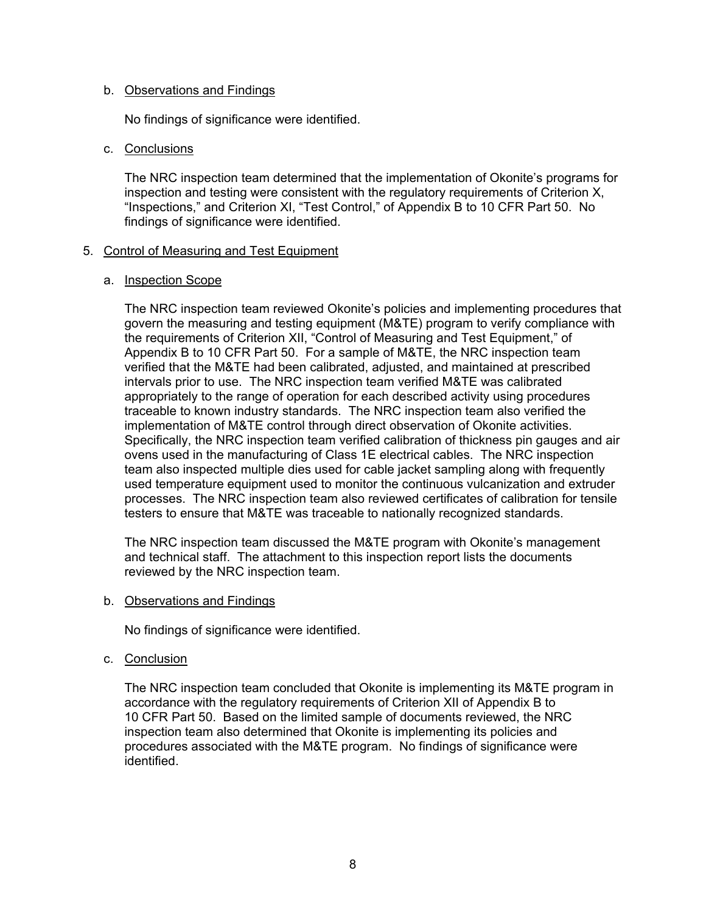### b. Observations and Findings

No findings of significance were identified.

### c. Conclusions

The NRC inspection team determined that the implementation of Okonite's programs for inspection and testing were consistent with the regulatory requirements of Criterion X, "Inspections," and Criterion XI, "Test Control," of Appendix B to 10 CFR Part 50. No findings of significance were identified.

### 5. Control of Measuring and Test Equipment

#### a. Inspection Scope

The NRC inspection team reviewed Okonite's policies and implementing procedures that govern the measuring and testing equipment (M&TE) program to verify compliance with the requirements of Criterion XII, "Control of Measuring and Test Equipment," of Appendix B to 10 CFR Part 50. For a sample of M&TE, the NRC inspection team verified that the M&TE had been calibrated, adjusted, and maintained at prescribed intervals prior to use. The NRC inspection team verified M&TE was calibrated appropriately to the range of operation for each described activity using procedures traceable to known industry standards. The NRC inspection team also verified the implementation of M&TE control through direct observation of Okonite activities. Specifically, the NRC inspection team verified calibration of thickness pin gauges and air ovens used in the manufacturing of Class 1E electrical cables. The NRC inspection team also inspected multiple dies used for cable jacket sampling along with frequently used temperature equipment used to monitor the continuous vulcanization and extruder processes. The NRC inspection team also reviewed certificates of calibration for tensile testers to ensure that M&TE was traceable to nationally recognized standards.

The NRC inspection team discussed the M&TE program with Okonite's management and technical staff. The attachment to this inspection report lists the documents reviewed by the NRC inspection team.

#### b. Observations and Findings

No findings of significance were identified.

#### c. Conclusion

The NRC inspection team concluded that Okonite is implementing its M&TE program in accordance with the regulatory requirements of Criterion XII of Appendix B to 10 CFR Part 50. Based on the limited sample of documents reviewed, the NRC inspection team also determined that Okonite is implementing its policies and procedures associated with the M&TE program. No findings of significance were identified.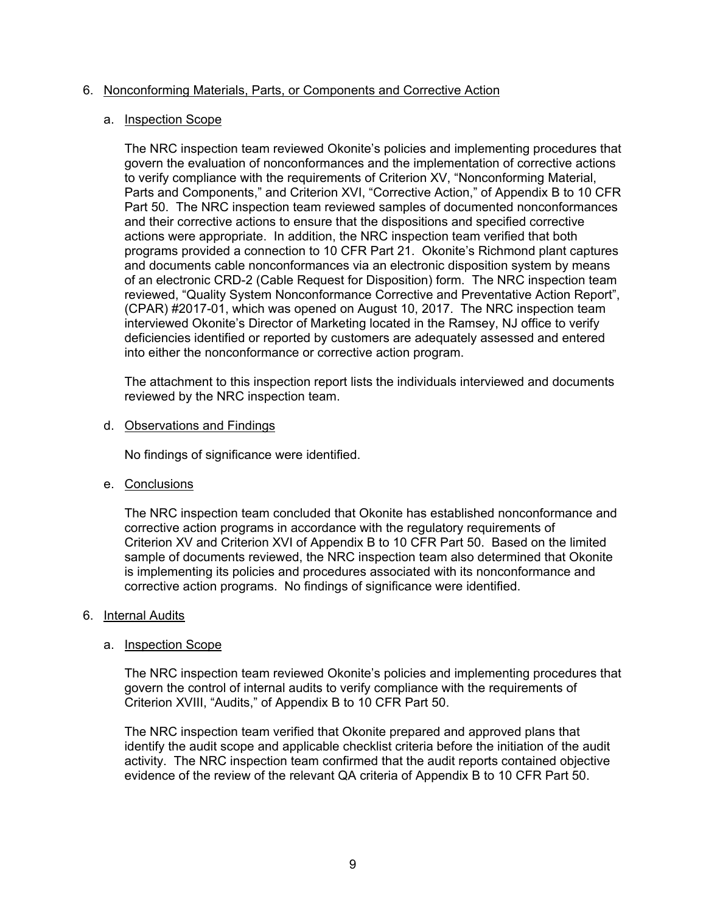### 6. Nonconforming Materials, Parts, or Components and Corrective Action

#### a. Inspection Scope

The NRC inspection team reviewed Okonite's policies and implementing procedures that govern the evaluation of nonconformances and the implementation of corrective actions to verify compliance with the requirements of Criterion XV, "Nonconforming Material, Parts and Components," and Criterion XVI, "Corrective Action," of Appendix B to 10 CFR Part 50. The NRC inspection team reviewed samples of documented nonconformances and their corrective actions to ensure that the dispositions and specified corrective actions were appropriate. In addition, the NRC inspection team verified that both programs provided a connection to 10 CFR Part 21. Okonite's Richmond plant captures and documents cable nonconformances via an electronic disposition system by means of an electronic CRD-2 (Cable Request for Disposition) form. The NRC inspection team reviewed, "Quality System Nonconformance Corrective and Preventative Action Report", (CPAR) #2017-01, which was opened on August 10, 2017. The NRC inspection team interviewed Okonite's Director of Marketing located in the Ramsey, NJ office to verify deficiencies identified or reported by customers are adequately assessed and entered into either the nonconformance or corrective action program.

The attachment to this inspection report lists the individuals interviewed and documents reviewed by the NRC inspection team.

### d. Observations and Findings

No findings of significance were identified.

# e. Conclusions

The NRC inspection team concluded that Okonite has established nonconformance and corrective action programs in accordance with the regulatory requirements of Criterion XV and Criterion XVI of Appendix B to 10 CFR Part 50. Based on the limited sample of documents reviewed, the NRC inspection team also determined that Okonite is implementing its policies and procedures associated with its nonconformance and corrective action programs. No findings of significance were identified.

#### 6. Internal Audits

# a. Inspection Scope

The NRC inspection team reviewed Okonite's policies and implementing procedures that govern the control of internal audits to verify compliance with the requirements of Criterion XVIII, "Audits," of Appendix B to 10 CFR Part 50.

The NRC inspection team verified that Okonite prepared and approved plans that identify the audit scope and applicable checklist criteria before the initiation of the audit activity. The NRC inspection team confirmed that the audit reports contained objective evidence of the review of the relevant QA criteria of Appendix B to 10 CFR Part 50.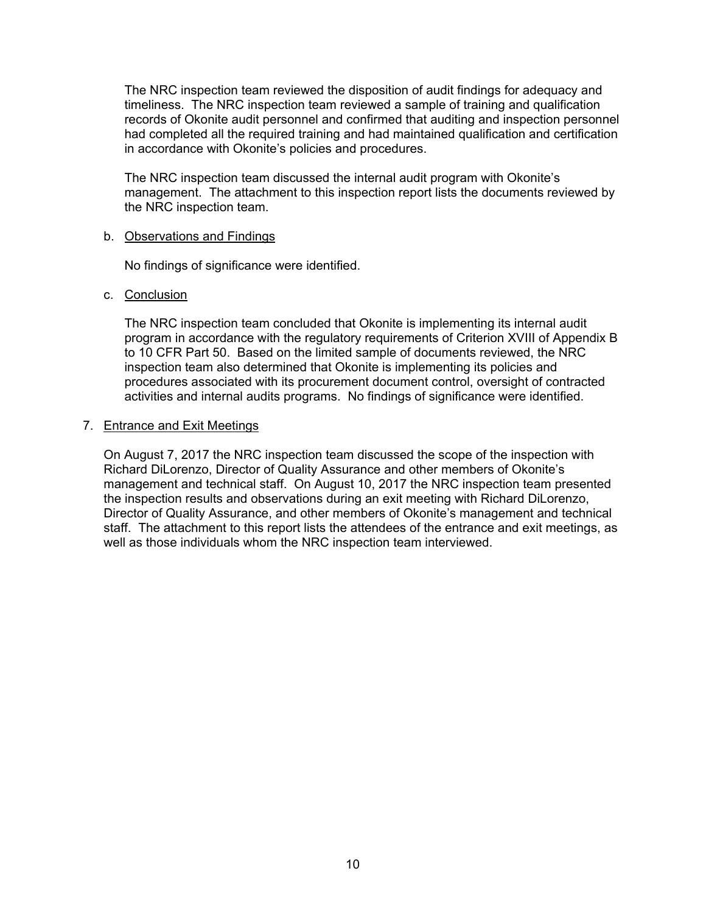The NRC inspection team reviewed the disposition of audit findings for adequacy and timeliness. The NRC inspection team reviewed a sample of training and qualification records of Okonite audit personnel and confirmed that auditing and inspection personnel had completed all the required training and had maintained qualification and certification in accordance with Okonite's policies and procedures.

The NRC inspection team discussed the internal audit program with Okonite's management. The attachment to this inspection report lists the documents reviewed by the NRC inspection team.

#### b. Observations and Findings

No findings of significance were identified.

# c. Conclusion

The NRC inspection team concluded that Okonite is implementing its internal audit program in accordance with the regulatory requirements of Criterion XVIII of Appendix B to 10 CFR Part 50. Based on the limited sample of documents reviewed, the NRC inspection team also determined that Okonite is implementing its policies and procedures associated with its procurement document control, oversight of contracted activities and internal audits programs. No findings of significance were identified.

### 7. Entrance and Exit Meetings

On August 7, 2017 the NRC inspection team discussed the scope of the inspection with Richard DiLorenzo, Director of Quality Assurance and other members of Okonite's management and technical staff. On August 10, 2017 the NRC inspection team presented the inspection results and observations during an exit meeting with Richard DiLorenzo, Director of Quality Assurance, and other members of Okonite's management and technical staff. The attachment to this report lists the attendees of the entrance and exit meetings, as well as those individuals whom the NRC inspection team interviewed.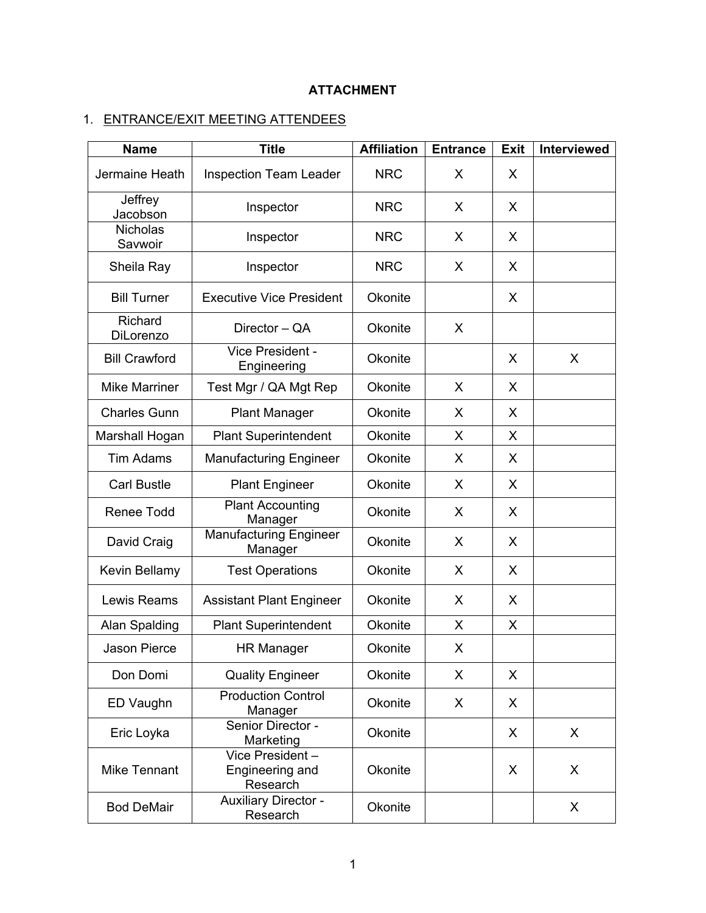# **ATTACHMENT**

# 1. ENTRANCE/EXIT MEETING ATTENDEES

| <b>Name</b>                | <b>Title</b>                                   | <b>Affiliation</b> | <b>Entrance</b> | <b>Exit</b> | Interviewed |
|----------------------------|------------------------------------------------|--------------------|-----------------|-------------|-------------|
| Jermaine Heath             | <b>Inspection Team Leader</b>                  | <b>NRC</b>         | X               | X           |             |
| Jeffrey<br>Jacobson        | Inspector                                      | <b>NRC</b>         | X               | X           |             |
| <b>Nicholas</b><br>Savwoir | Inspector                                      | <b>NRC</b>         | X               | X           |             |
| Sheila Ray                 | Inspector                                      | <b>NRC</b>         | X               | X           |             |
| <b>Bill Turner</b>         | <b>Executive Vice President</b>                | Okonite            |                 | X           |             |
| Richard<br>DiLorenzo       | Director - QA                                  | Okonite            | X               |             |             |
| <b>Bill Crawford</b>       | Vice President -<br>Engineering                | Okonite            |                 | X           | $\sf X$     |
| <b>Mike Marriner</b>       | Test Mgr / QA Mgt Rep                          | Okonite            | X               | X           |             |
| <b>Charles Gunn</b>        | <b>Plant Manager</b>                           | Okonite            | X               | X           |             |
| Marshall Hogan             | <b>Plant Superintendent</b>                    | Okonite            | X               | X           |             |
| <b>Tim Adams</b>           | <b>Manufacturing Engineer</b>                  | Okonite            | X               | X           |             |
| <b>Carl Bustle</b>         | <b>Plant Engineer</b>                          | Okonite            | X               | X           |             |
| Renee Todd                 | <b>Plant Accounting</b><br>Manager             | Okonite            | X               | X           |             |
| David Craig                | <b>Manufacturing Engineer</b><br>Manager       | Okonite            | X               | X           |             |
| Kevin Bellamy              | <b>Test Operations</b>                         | Okonite            | X               | X           |             |
| Lewis Reams                | <b>Assistant Plant Engineer</b>                | Okonite            | X               | X           |             |
| Alan Spalding              | <b>Plant Superintendent</b>                    | Okonite            | X               | X           |             |
| <b>Jason Pierce</b>        | <b>HR Manager</b>                              | Okonite            | X               |             |             |
| Don Domi                   | <b>Quality Engineer</b>                        | Okonite            | X               | X           |             |
| ED Vaughn                  | <b>Production Control</b><br>Manager           | Okonite            | X               | X           |             |
| Eric Loyka                 | Senior Director -<br>Marketing                 | Okonite            |                 | X           | X           |
| <b>Mike Tennant</b>        | Vice President-<br>Engineering and<br>Research | Okonite            |                 | X           | X           |
| <b>Bod DeMair</b>          | <b>Auxiliary Director -</b><br>Research        | Okonite            |                 |             | X           |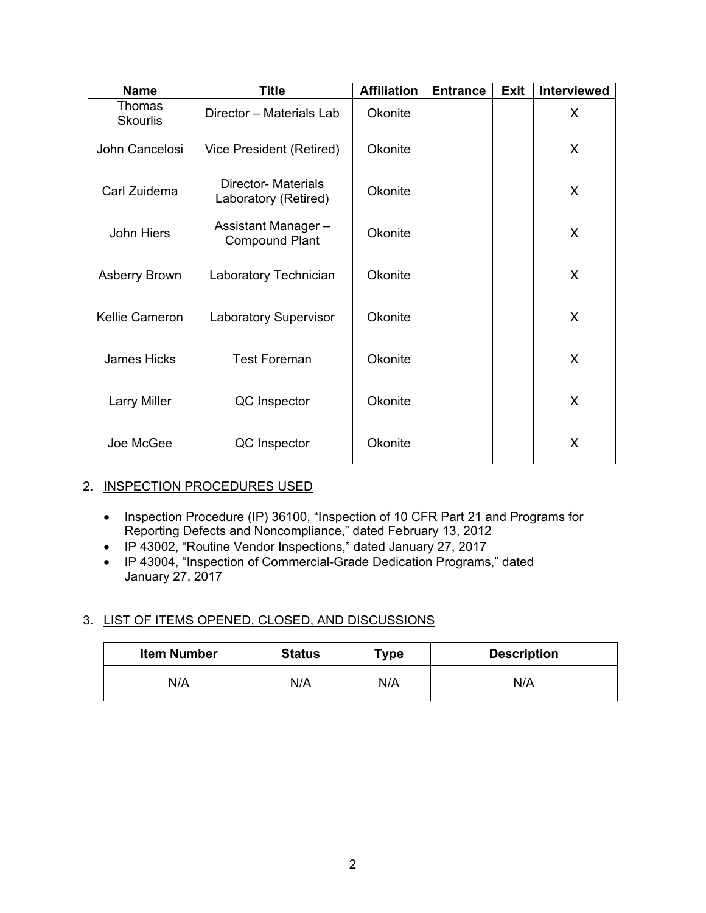| <b>Name</b>               | <b>Title</b>                                       | <b>Affiliation</b> | <b>Entrance</b> | <b>Exit</b> | <b>Interviewed</b> |
|---------------------------|----------------------------------------------------|--------------------|-----------------|-------------|--------------------|
| Thomas<br><b>Skourlis</b> | Director - Materials Lab                           | Okonite            |                 |             | X                  |
| John Cancelosi            | Vice President (Retired)                           | Okonite            |                 |             | X                  |
| Carl Zuidema              | <b>Director- Materials</b><br>Laboratory (Retired) | Okonite            |                 |             | X                  |
| John Hiers                | Assistant Manager-<br><b>Compound Plant</b>        | Okonite            |                 |             | X                  |
| <b>Asberry Brown</b>      | Laboratory Technician                              | Okonite            |                 |             | X                  |
| <b>Kellie Cameron</b>     | <b>Laboratory Supervisor</b>                       | Okonite            |                 |             | X                  |
| <b>James Hicks</b>        | <b>Test Foreman</b>                                | Okonite            |                 |             | X                  |
| <b>Larry Miller</b>       | QC Inspector                                       | Okonite            |                 |             | X                  |
| Joe McGee                 | QC Inspector                                       | Okonite            |                 |             | X                  |

# 2. INSPECTION PROCEDURES USED

- Inspection Procedure (IP) 36100, "Inspection of 10 CFR Part 21 and Programs for Reporting Defects and Noncompliance," dated February 13, 2012
- IP 43002, "Routine Vendor Inspections," dated January 27, 2017
- IP 43004, "Inspection of Commercial-Grade Dedication Programs," dated January 27, 2017

# 3. LIST OF ITEMS OPENED, CLOSED, AND DISCUSSIONS

| <b>Item Number</b> | <b>Status</b> | Type | <b>Description</b> |
|--------------------|---------------|------|--------------------|
| N/A                | N/A           | N/A  | N/A                |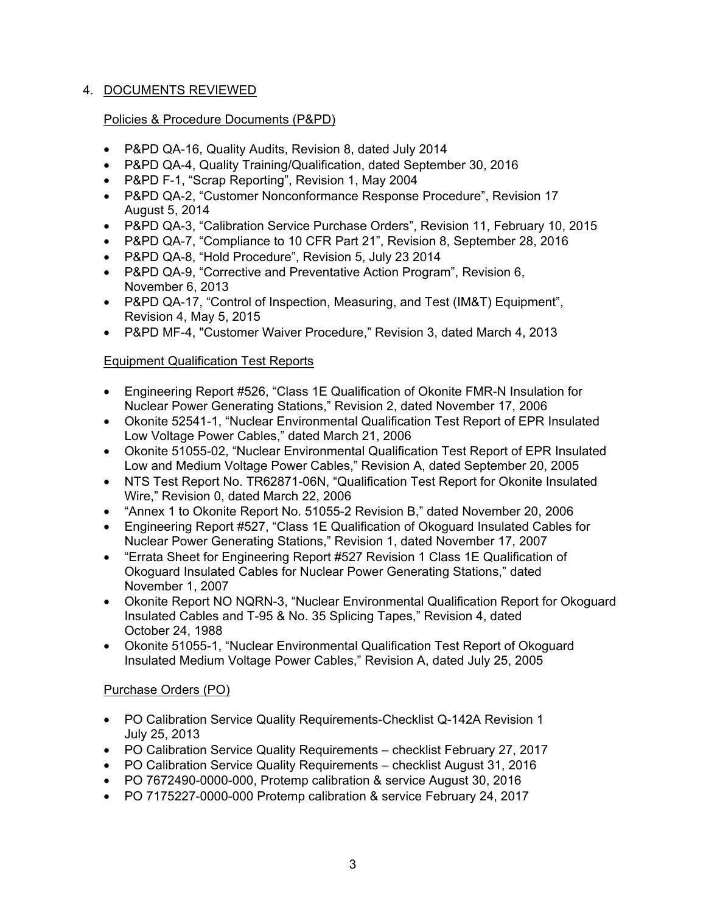# 4. DOCUMENTS REVIEWED

# Policies & Procedure Documents (P&PD)

- P&PD QA-16, Quality Audits, Revision 8, dated July 2014
- P&PD QA-4, Quality Training/Qualification, dated September 30, 2016
- P&PD F-1, "Scrap Reporting", Revision 1, May 2004
- P&PD QA-2, "Customer Nonconformance Response Procedure", Revision 17 August 5, 2014
- P&PD QA-3, "Calibration Service Purchase Orders", Revision 11, February 10, 2015
- P&PD QA-7, "Compliance to 10 CFR Part 21", Revision 8, September 28, 2016
- P&PD QA-8, "Hold Procedure", Revision 5, July 23 2014
- P&PD QA-9, "Corrective and Preventative Action Program", Revision 6, November 6, 2013
- P&PD QA-17, "Control of Inspection, Measuring, and Test (IM&T) Equipment", Revision 4, May 5, 2015
- P&PD MF-4, "Customer Waiver Procedure," Revision 3, dated March 4, 2013

# Equipment Qualification Test Reports

- Engineering Report #526, "Class 1E Qualification of Okonite FMR-N Insulation for Nuclear Power Generating Stations," Revision 2, dated November 17, 2006
- Okonite 52541-1, "Nuclear Environmental Qualification Test Report of EPR Insulated Low Voltage Power Cables," dated March 21, 2006
- Okonite 51055-02, "Nuclear Environmental Qualification Test Report of EPR Insulated Low and Medium Voltage Power Cables," Revision A, dated September 20, 2005
- NTS Test Report No. TR62871-06N, "Qualification Test Report for Okonite Insulated Wire," Revision 0, dated March 22, 2006
- "Annex 1 to Okonite Report No. 51055-2 Revision B," dated November 20, 2006
- Engineering Report #527, "Class 1E Qualification of Okoguard Insulated Cables for Nuclear Power Generating Stations," Revision 1, dated November 17, 2007
- "Errata Sheet for Engineering Report #527 Revision 1 Class 1E Qualification of Okoguard Insulated Cables for Nuclear Power Generating Stations," dated November 1, 2007
- Okonite Report NO NQRN-3, "Nuclear Environmental Qualification Report for Okoguard Insulated Cables and T-95 & No. 35 Splicing Tapes," Revision 4, dated October 24, 1988
- Okonite 51055-1, "Nuclear Environmental Qualification Test Report of Okoguard Insulated Medium Voltage Power Cables," Revision A, dated July 25, 2005

# Purchase Orders (PO)

- PO Calibration Service Quality Requirements-Checklist Q-142A Revision 1 July 25, 2013
- PO Calibration Service Quality Requirements checklist February 27, 2017
- PO Calibration Service Quality Requirements checklist August 31, 2016
- PO 7672490-0000-000, Protemp calibration & service August 30, 2016
- PO 7175227-0000-000 Protemp calibration & service February 24, 2017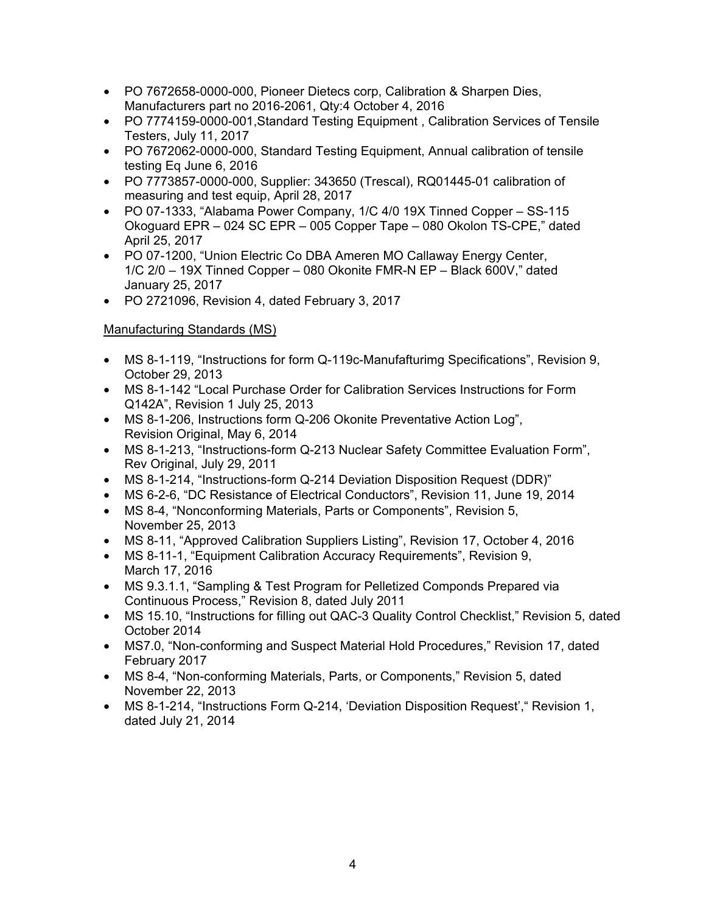- PO 7672658-0000-000, Pioneer Dietecs corp, Calibration & Sharpen Dies, Manufacturers part no 2016-2061, Qty:4 October 4, 2016
- PO 7774159-0000-001,Standard Testing Equipment , Calibration Services of Tensile Testers, July 11, 2017
- PO 7672062-0000-000, Standard Testing Equipment, Annual calibration of tensile testing Eq June 6, 2016
- PO 7773857-0000-000, Supplier: 343650 (Trescal), RQ01445-01 calibration of measuring and test equip, April 28, 2017
- PO 07-1333, "Alabama Power Company, 1/C 4/0 19X Tinned Copper SS-115 Okoguard EPR – 024 SC EPR – 005 Copper Tape – 080 Okolon TS-CPE," dated April 25, 2017
- PO 07-1200, "Union Electric Co DBA Ameren MO Callaway Energy Center, 1/C 2/0 – 19X Tinned Copper – 080 Okonite FMR-N EP – Black 600V," dated January 25, 2017
- PO 2721096, Revision 4, dated February 3, 2017

# Manufacturing Standards (MS)

- MS 8-1-119, "Instructions for form Q-119c-Manufafturimg Specifications", Revision 9, October 29, 2013
- MS 8-1-142 "Local Purchase Order for Calibration Services Instructions for Form Q142A", Revision 1 July 25, 2013
- MS 8-1-206, Instructions form Q-206 Okonite Preventative Action Log", Revision Original, May 6, 2014
- MS 8-1-213, "Instructions-form Q-213 Nuclear Safety Committee Evaluation Form", Rev Original, July 29, 2011
- MS 8-1-214, "Instructions-form Q-214 Deviation Disposition Request (DDR)"
- MS 6-2-6, "DC Resistance of Electrical Conductors", Revision 11, June 19, 2014
- MS 8-4, "Nonconforming Materials, Parts or Components", Revision 5, November 25, 2013
- MS 8-11, "Approved Calibration Suppliers Listing", Revision 17, October 4, 2016
- MS 8-11-1, "Equipment Calibration Accuracy Requirements", Revision 9, March 17, 2016
- MS 9.3.1.1, "Sampling & Test Program for Pelletized Componds Prepared via Continuous Process," Revision 8, dated July 2011
- MS 15.10, "Instructions for filling out QAC-3 Quality Control Checklist," Revision 5, dated October 2014
- MS7.0, "Non-conforming and Suspect Material Hold Procedures," Revision 17, dated February 2017
- MS 8-4, "Non-conforming Materials, Parts, or Components," Revision 5, dated November 22, 2013
- MS 8-1-214, "Instructions Form Q-214, 'Deviation Disposition Request', "Revision 1, dated July 21, 2014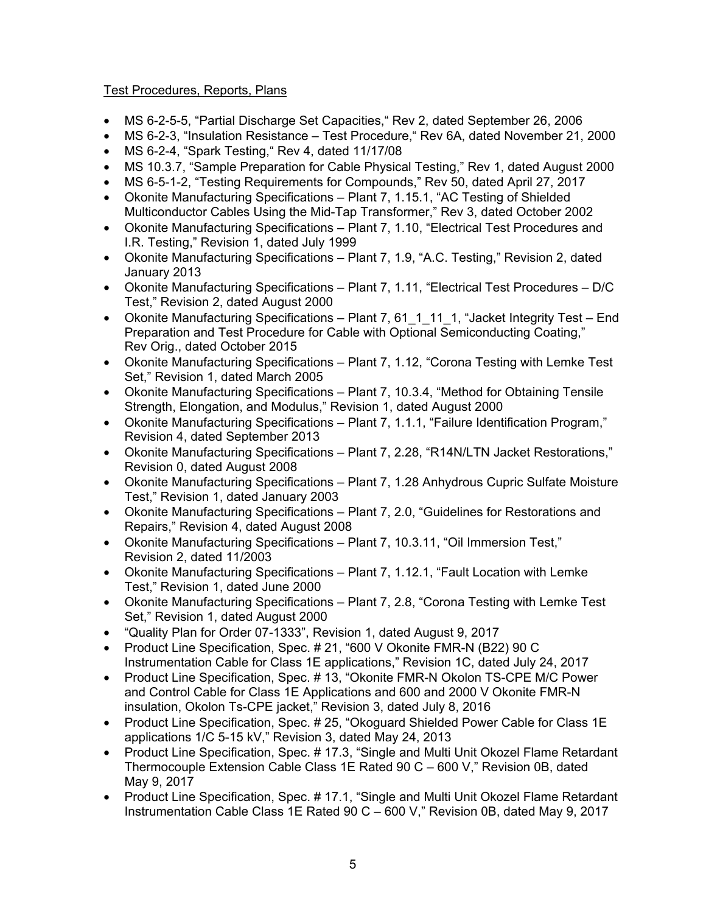# Test Procedures, Reports, Plans

- MS 6-2-5-5, "Partial Discharge Set Capacities," Rev 2, dated September 26, 2006
- MS 6-2-3, "Insulation Resistance Test Procedure," Rev 6A, dated November 21, 2000
- MS 6-2-4, "Spark Testing," Rev 4, dated 11/17/08
- MS 10.3.7, "Sample Preparation for Cable Physical Testing," Rev 1, dated August 2000
- MS 6-5-1-2, "Testing Requirements for Compounds," Rev 50, dated April 27, 2017
- Okonite Manufacturing Specifications Plant 7, 1.15.1, "AC Testing of Shielded Multiconductor Cables Using the Mid-Tap Transformer," Rev 3, dated October 2002
- Okonite Manufacturing Specifications Plant 7, 1.10, "Electrical Test Procedures and I.R. Testing," Revision 1, dated July 1999
- Okonite Manufacturing Specifications Plant 7, 1.9, "A.C. Testing," Revision 2, dated January 2013
- Okonite Manufacturing Specifications Plant 7, 1.11, "Electrical Test Procedures D/C Test," Revision 2, dated August 2000
- Okonite Manufacturing Specifications Plant 7, 61\_1\_11\_1, "Jacket Integrity Test End Preparation and Test Procedure for Cable with Optional Semiconducting Coating," Rev Orig., dated October 2015
- Okonite Manufacturing Specifications Plant 7, 1.12, "Corona Testing with Lemke Test Set," Revision 1, dated March 2005
- Okonite Manufacturing Specifications Plant 7, 10.3.4, "Method for Obtaining Tensile Strength, Elongation, and Modulus," Revision 1, dated August 2000
- Okonite Manufacturing Specifications Plant 7, 1.1.1, "Failure Identification Program," Revision 4, dated September 2013
- Okonite Manufacturing Specifications Plant 7, 2.28, "R14N/LTN Jacket Restorations," Revision 0, dated August 2008
- Okonite Manufacturing Specifications Plant 7, 1.28 Anhydrous Cupric Sulfate Moisture Test," Revision 1, dated January 2003
- Okonite Manufacturing Specifications Plant 7, 2.0, "Guidelines for Restorations and Repairs," Revision 4, dated August 2008
- Okonite Manufacturing Specifications Plant 7, 10.3.11, "Oil Immersion Test," Revision 2, dated 11/2003
- Okonite Manufacturing Specifications Plant 7, 1.12.1, "Fault Location with Lemke Test," Revision 1, dated June 2000
- Okonite Manufacturing Specifications Plant 7, 2.8, "Corona Testing with Lemke Test Set," Revision 1, dated August 2000
- "Quality Plan for Order 07-1333", Revision 1, dated August 9, 2017
- Product Line Specification, Spec. # 21, "600 V Okonite FMR-N (B22) 90 C Instrumentation Cable for Class 1E applications," Revision 1C, dated July 24, 2017
- Product Line Specification, Spec. # 13, "Okonite FMR-N Okolon TS-CPE M/C Power and Control Cable for Class 1E Applications and 600 and 2000 V Okonite FMR-N insulation, Okolon Ts-CPE jacket," Revision 3, dated July 8, 2016
- Product Line Specification, Spec. # 25, "Okoguard Shielded Power Cable for Class 1E applications 1/C 5-15 kV," Revision 3, dated May 24, 2013
- Product Line Specification, Spec. # 17.3, "Single and Multi Unit Okozel Flame Retardant Thermocouple Extension Cable Class 1E Rated 90 C – 600 V," Revision 0B, dated May 9, 2017
- Product Line Specification, Spec. # 17.1, "Single and Multi Unit Okozel Flame Retardant Instrumentation Cable Class 1E Rated 90 C – 600 V," Revision 0B, dated May 9, 2017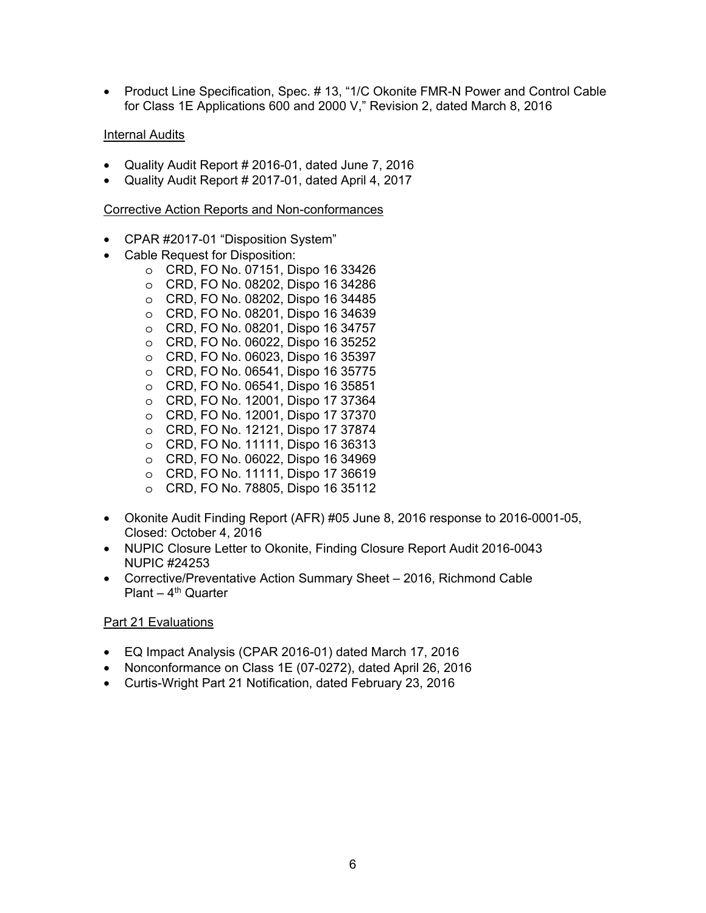• Product Line Specification, Spec. # 13, "1/C Okonite FMR-N Power and Control Cable for Class 1E Applications 600 and 2000 V," Revision 2, dated March 8, 2016

### Internal Audits

- Quality Audit Report # 2016-01, dated June 7, 2016
- Quality Audit Report # 2017-01, dated April 4, 2017

#### Corrective Action Reports and Non-conformances

- CPAR #2017-01 "Disposition System"
- Cable Request for Disposition:
	- o CRD, FO No. 07151, Dispo 16 33426
	- o CRD, FO No. 08202, Dispo 16 34286 o CRD, FO No. 08202, Dispo 16 34485
	- o CRD, FO No. 08201, Dispo 16 34639
	- o CRD, FO No. 08201, Dispo 16 34757
	- o CRD, FO No. 06022, Dispo 16 35252
	- o CRD, FO No. 06023, Dispo 16 35397
	- o CRD, FO No. 06541, Dispo 16 35775
	- o CRD, FO No. 06541, Dispo 16 35851
	- o CRD, FO No. 12001, Dispo 17 37364
	- o CRD, FO No. 12001, Dispo 17 37370
	- o CRD, FO No. 12121, Dispo 17 37874
	- o CRD, FO No. 11111, Dispo 16 36313
	- o CRD, FO No. 06022, Dispo 16 34969
	- o CRD, FO No. 11111, Dispo 17 36619
	- o CRD, FO No. 78805, Dispo 16 35112
- Okonite Audit Finding Report (AFR) #05 June 8, 2016 response to 2016-0001-05, Closed: October 4, 2016
- NUPIC Closure Letter to Okonite, Finding Closure Report Audit 2016-0043 NUPIC #24253
- Corrective/Preventative Action Summary Sheet 2016, Richmond Cable Plant –  $4<sup>th</sup>$  Quarter

# Part 21 Evaluations

- EQ Impact Analysis (CPAR 2016-01) dated March 17, 2016
- Nonconformance on Class 1E (07-0272), dated April 26, 2016
- Curtis-Wright Part 21 Notification, dated February 23, 2016